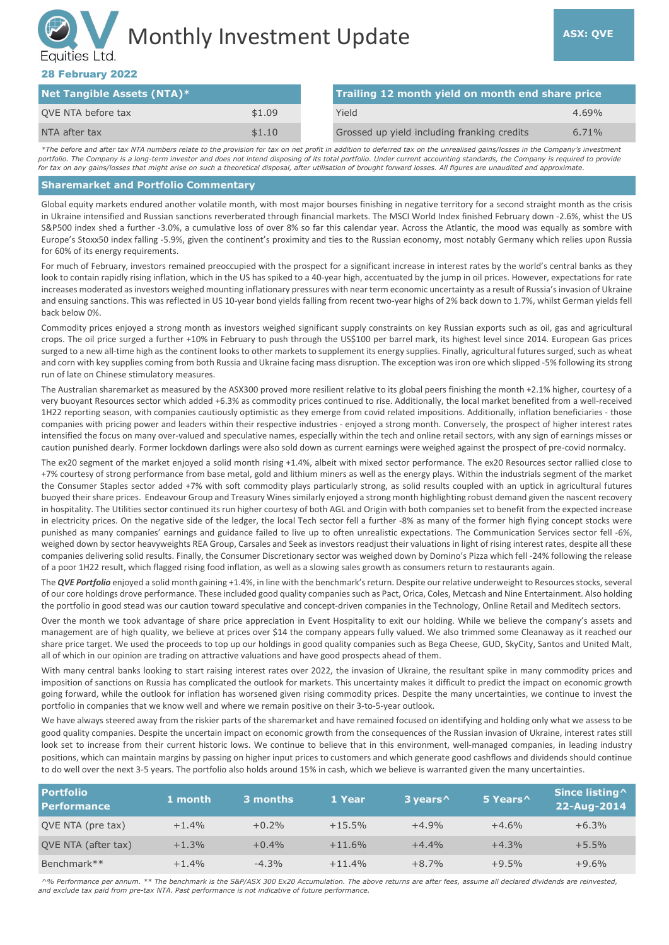# Monthly Investment Update **ASX: QVE** Equities Ltd.

# 28 February 2022

| <b>Net Tangible Assets (NTA)*</b> |        | Trailing 12 month yield on month end share price |          |
|-----------------------------------|--------|--------------------------------------------------|----------|
| QVE NTA before tax                | \$1.09 | Yield                                            | $4.69\%$ |
| NTA after tax                     | \$1.10 | Grossed up yield including franking credits      | $6.71\%$ |

*\*The before and after tax NTA numbers relate to the provision for tax on net profit in addition to deferred tax on the unrealised gains/losses in the Company's investment portfolio. The Company is a long-term investor and does not intend disposing of its total portfolio. Under current accounting standards, the Company is required to provide for tax on any gains/losses that might arise on such a theoretical disposal, after utilisation of brought forward losses. All figures are unaudited and approximate.*

#### **Sharemarket and Portfolio Commentary**

Global equity markets endured another volatile month, with most major bourses finishing in negative territory for a second straight month as the crisis in Ukraine intensified and Russian sanctions reverberated through financial markets. The MSCI World Index finished February down -2.6%, whist the US S&P500 index shed a further -3.0%, a cumulative loss of over 8% so far this calendar year. Across the Atlantic, the mood was equally as sombre with Europe's Stoxx50 index falling -5.9%, given the continent's proximity and ties to the Russian economy, most notably Germany which relies upon Russia for 60% of its energy requirements.

For much of February, investors remained preoccupied with the prospect for a significant increase in interest rates by the world's central banks as they look to contain rapidly rising inflation, which in the US has spiked to a 40-year high, accentuated by the jump in oil prices. However, expectations for rate increases moderated as investors weighed mounting inflationary pressures with near term economic uncertainty as a result of Russia's invasion of Ukraine and ensuing sanctions. This was reflected in US 10-year bond yields falling from recent two-year highs of 2% back down to 1.7%, whilst German yields fell back below 0%.

Commodity prices enjoyed a strong month as investors weighed significant supply constraints on key Russian exports such as oil, gas and agricultural crops. The oil price surged a further +10% in February to push through the US\$100 per barrel mark, its highest level since 2014. European Gas prices surged to a new all-time high as the continent looks to other markets to supplement its energy supplies. Finally, agricultural futures surged, such as wheat and corn with key supplies coming from both Russia and Ukraine facing mass disruption. The exception was iron ore which slipped -5% following its strong run of late on Chinese stimulatory measures.

The Australian sharemarket as measured by the ASX300 proved more resilient relative to its global peers finishing the month +2.1% higher, courtesy of a very buoyant Resources sector which added +6.3% as commodity prices continued to rise. Additionally, the local market benefited from a well-received 1H22 reporting season, with companies cautiously optimistic as they emerge from covid related impositions. Additionally, inflation beneficiaries - those companies with pricing power and leaders within their respective industries - enjoyed a strong month. Conversely, the prospect of higher interest rates intensified the focus on many over-valued and speculative names, especially within the tech and online retail sectors, with any sign of earnings misses or caution punished dearly. Former lockdown darlings were also sold down as current earnings were weighed against the prospect of pre-covid normalcy.

The ex20 segment of the market enjoyed a solid month rising +1.4%, albeit with mixed sector performance. The ex20 Resources sector rallied close to +7% courtesy of strong performance from base metal, gold and lithium miners as well as the energy plays. Within the industrials segment of the market the Consumer Staples sector added +7% with soft commodity plays particularly strong, as solid results coupled with an uptick in agricultural futures buoyed their share prices. Endeavour Group and Treasury Wines similarly enjoyed a strong month highlighting robust demand given the nascent recovery in hospitality. The Utilities sector continued its run higher courtesy of both AGL and Origin with both companies set to benefit from the expected increase in electricity prices. On the negative side of the ledger, the local Tech sector fell a further -8% as many of the former high flying concept stocks were punished as many companies' earnings and guidance failed to live up to often unrealistic expectations. The Communication Services sector fell -6%, weighed down by sector heavyweights REA Group, Carsales and Seek as investors readjust their valuations in light of rising interest rates, despite all these companies delivering solid results. Finally, the Consumer Discretionary sector was weighed down by Domino's Pizza which fell -24% following the release of a poor 1H22 result, which flagged rising food inflation, as well as a slowing sales growth as consumers return to restaurants again.

The *QVE Portfolio* enjoyed a solid month gaining +1.4%, in line with the benchmark's return. Despite our relative underweight to Resources stocks, several of our core holdings drove performance. These included good quality companies such as Pact, Orica, Coles, Metcash and Nine Entertainment. Also holding the portfolio in good stead was our caution toward speculative and concept-driven companies in the Technology, Online Retail and Meditech sectors.

Over the month we took advantage of share price appreciation in Event Hospitality to exit our holding. While we believe the company's assets and management are of high quality, we believe at prices over \$14 the company appears fully valued. We also trimmed some Cleanaway as it reached our share price target. We used the proceeds to top up our holdings in good quality companies such as Bega Cheese, GUD, SkyCity, Santos and United Malt, all of which in our opinion are trading on attractive valuations and have good prospects ahead of them.

With many central banks looking to start raising interest rates over 2022, the invasion of Ukraine, the resultant spike in many commodity prices and imposition of sanctions on Russia has complicated the outlook for markets. This uncertainty makes it difficult to predict the impact on economic growth going forward, while the outlook for inflation has worsened given rising commodity prices. Despite the many uncertainties, we continue to invest the portfolio in companies that we know well and where we remain positive on their 3-to-5-year outlook.

We have always steered away from the riskier parts of the sharemarket and have remained focused on identifying and holding only what we assess to be good quality companies. Despite the uncertain impact on economic growth from the consequences of the Russian invasion of Ukraine, interest rates still look set to increase from their current historic lows. We continue to believe that in this environment, well-managed companies, in leading industry positions, which can maintain margins by passing on higher input prices to customers and which generate good cashflows and dividends should continue to do well over the next 3-5 years. The portfolio also holds around 15% in cash, which we believe is warranted given the many uncertainties.

| <b>Portfolio</b><br><b>Performance</b> | 1 month | $\mathsf{\scriptstyle l}$ 3 months $\mathsf{\scriptstyle l}$ | 1 Year   | 3 years <sup>^</sup> | 5 Years^ | Since listing ^<br>22-Aug-2014 |
|----------------------------------------|---------|--------------------------------------------------------------|----------|----------------------|----------|--------------------------------|
| QVE NTA (pre tax)                      | $+1.4%$ | $+0.2%$                                                      | $+15.5%$ | $+4.9%$              | $+4.6%$  | $+6.3%$                        |
| QVE NTA (after tax)                    | $+1.3%$ | $+0.4%$                                                      | $+11.6%$ | $+4.4%$              | $+4.3%$  | $+5.5%$                        |
| Benchmark**                            | $+1.4%$ | $-4.3%$                                                      | $+11.4%$ | $+8.7%$              | $+9.5%$  | $+9.6%$                        |

*^% Performance per annum. \*\* The benchmark is the S&P/ASX 300 Ex20 Accumulation. The above returns are after fees, assume all declared dividends are reinvested, and exclude tax paid from pre-tax NTA. Past performance is not indicative of future performance.*